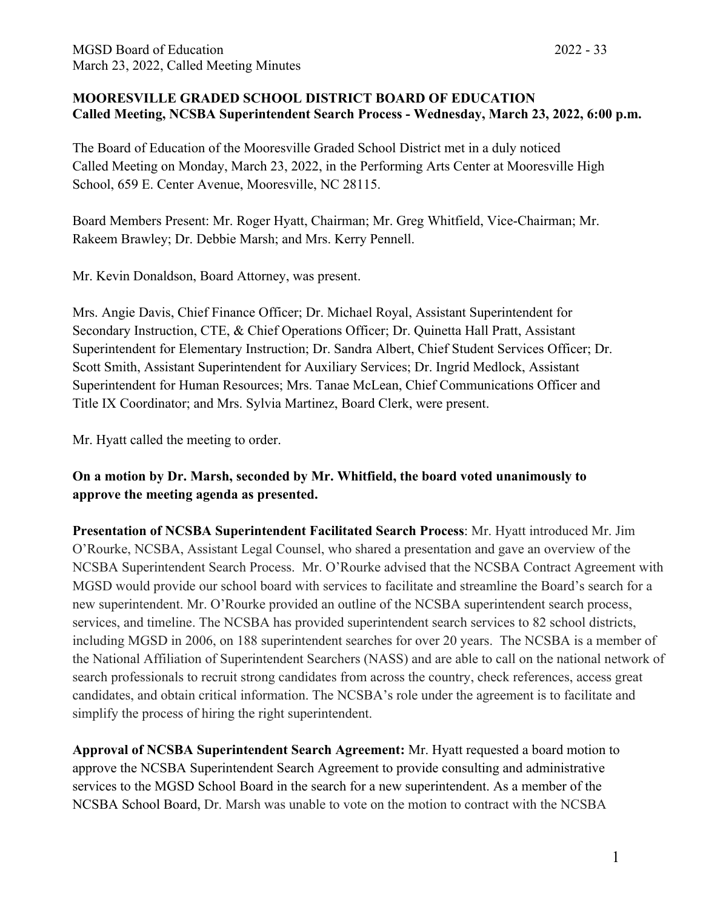## **MOORESVILLE GRADED SCHOOL DISTRICT BOARD OF EDUCATION Called Meeting, NCSBA Superintendent Search Process - Wednesday, March 23, 2022, 6:00 p.m.**

The Board of Education of the Mooresville Graded School District met in a duly noticed Called Meeting on Monday, March 23, 2022, in the Performing Arts Center at Mooresville High School, 659 E. Center Avenue, Mooresville, NC 28115.

Board Members Present: Mr. Roger Hyatt, Chairman; Mr. Greg Whitfield, Vice-Chairman; Mr. Rakeem Brawley; Dr. Debbie Marsh; and Mrs. Kerry Pennell.

Mr. Kevin Donaldson, Board Attorney, was present.

Mrs. Angie Davis, Chief Finance Officer; Dr. Michael Royal, Assistant Superintendent for Secondary Instruction, CTE, & Chief Operations Officer; Dr. Quinetta Hall Pratt, Assistant Superintendent for Elementary Instruction; Dr. Sandra Albert, Chief Student Services Officer; Dr. Scott Smith, Assistant Superintendent for Auxiliary Services; Dr. Ingrid Medlock, Assistant Superintendent for Human Resources; Mrs. Tanae McLean, Chief Communications Officer and Title IX Coordinator; and Mrs. Sylvia Martinez, Board Clerk, were present.

Mr. Hyatt called the meeting to order.

**On a motion by Dr. Marsh, seconded by Mr. Whitfield, the board voted unanimously to approve the meeting agenda as presented.**

**Presentation of NCSBA Superintendent Facilitated Search Process**: Mr. Hyatt introduced Mr. Jim O'Rourke, NCSBA, Assistant Legal Counsel, who shared a presentation and gave an overview of the NCSBA Superintendent Search Process. Mr. O'Rourke advised that the NCSBA Contract Agreement with MGSD would provide our school board with services to facilitate and streamline the Board's search for a new superintendent. Mr. O'Rourke provided an outline of the NCSBA superintendent search process, services, and timeline. The NCSBA has provided superintendent search services to 82 school districts, including MGSD in 2006, on 188 superintendent searches for over 20 years. The NCSBA is a member of the National Affiliation of Superintendent Searchers (NASS) and are able to call on the national network of search professionals to recruit strong candidates from across the country, check references, access great candidates, and obtain critical information. The NCSBA's role under the agreement is to facilitate and simplify the process of hiring the right superintendent.

**Approval of NCSBA Superintendent Search Agreement:** Mr. Hyatt requested a board motion to approve the NCSBA Superintendent Search Agreement to provide consulting and administrative services to the MGSD School Board in the search for a new superintendent. As a member of the NCSBA School Board, Dr. Marsh was unable to vote on the motion to contract with the NCSBA